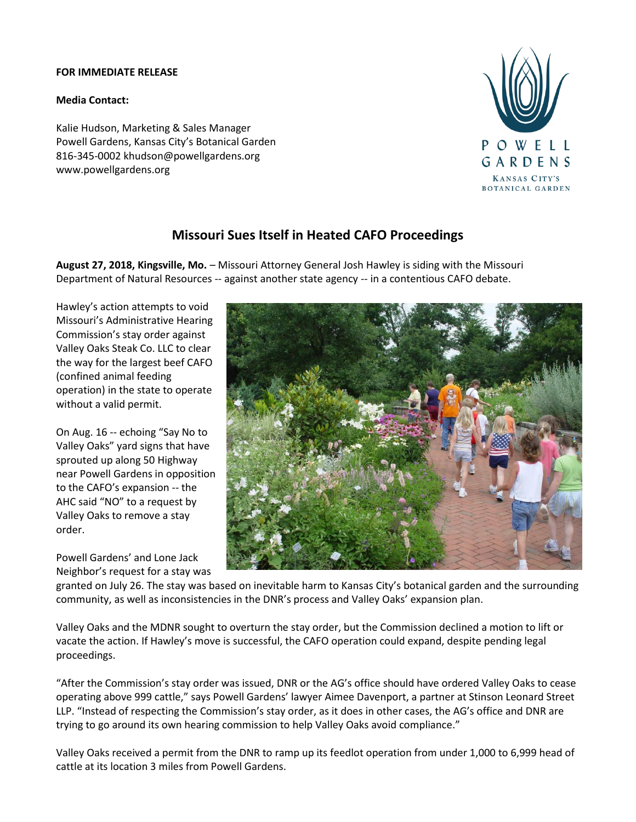## **FOR IMMEDIATE RELEASE**

## **Media Contact:**

Kalie Hudson, Marketing & Sales Manager Powell Gardens, Kansas City's Botanical Garden 816-345-0002 khudson@powellgardens.org www.powellgardens.org



## **Missouri Sues Itself in Heated CAFO Proceedings**

**August 27, 2018, Kingsville, Mo.** – Missouri Attorney General Josh Hawley is siding with the Missouri Department of Natural Resources -- against another state agency -- in a contentious CAFO debate.

Hawley's action attempts to void Missouri's Administrative Hearing Commission's stay order against Valley Oaks Steak Co. LLC to clear the way for the largest beef CAFO (confined animal feeding operation) in the state to operate without a valid permit.

On Aug. 16 -- echoing "Say No to Valley Oaks" yard signs that have sprouted up along 50 Highway near Powell Gardens in opposition to the CAFO's expansion -- the AHC said "NO" to a request by Valley Oaks to remove a stay order.

Powell Gardens' and Lone Jack Neighbor's request for a stay was



granted on July 26. The stay was based on inevitable harm to Kansas City's botanical garden and the surrounding community, as well as inconsistencies in the DNR's process and Valley Oaks' expansion plan.

Valley Oaks and the MDNR sought to overturn the stay order, but the Commission declined a motion to lift or vacate the action. If Hawley's move is successful, the CAFO operation could expand, despite pending legal proceedings.

"After the Commission's stay order was issued, DNR or the AG's office should have ordered Valley Oaks to cease operating above 999 cattle," says Powell Gardens' lawyer Aimee Davenport, a partner at Stinson Leonard Street LLP. "Instead of respecting the Commission's stay order, as it does in other cases, the AG's office and DNR are trying to go around its own hearing commission to help Valley Oaks avoid compliance."

Valley Oaks received a permit from the DNR to ramp up its feedlot operation from under 1,000 to 6,999 head of cattle at its location 3 miles from Powell Gardens.